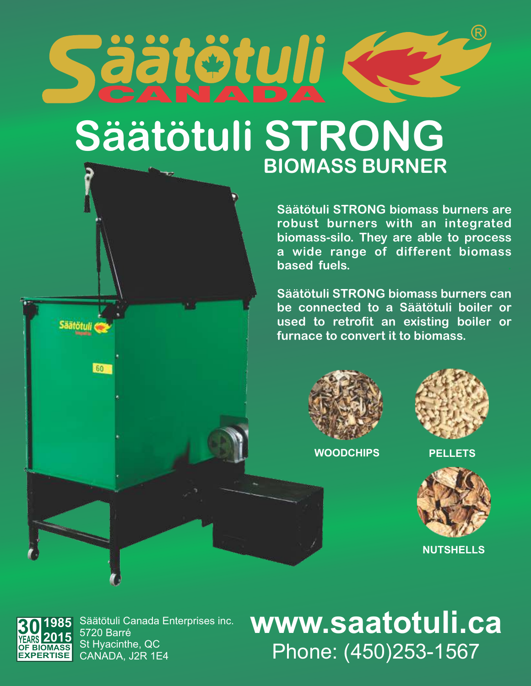

## **Säätötuli STRONG BIOMASS BURNER**

**Säätötuli STRONG biomass burners are robust burners with an integrated biomass-silo. They are able to process a wide range of different biomass based fuels. .**

**Säätötuli STRONG biomass burners can be connected to a Säätötuli boiler or used to retrofit an existing boiler or furnace to convert it to biomass.**





**WOODCHIPS PELLETS**



 **NUTSHELLS**



Säätötuli

60

Säätötuli Canada Enterprises inc. 5720 Barré St Hyacinthe, QC CANADA, J2R 1E4

**www.saatotuli.ca** Phone: (450)253-1567